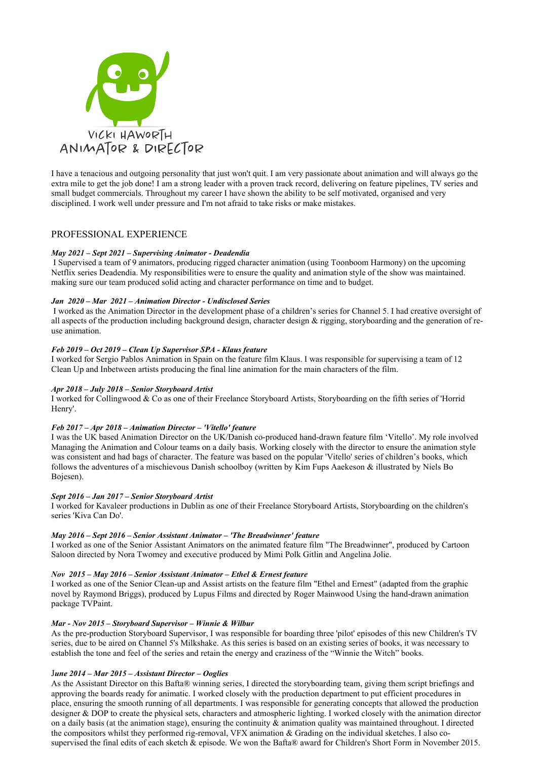

I have a tenacious and outgoing personality that just won't quit. I am very passionate about animation and will always go the extra mile to get the job done! I am a strong leader with a proven track record, delivering on feature pipelines, TV series and small budget commercials. Throughout my career I have shown the ability to be self motivated, organised and very disciplined. I work well under pressure and I'm not afraid to take risks or make mistakes.

# PROFESSIONAL EXPERIENCE

# *May 2021 – Sept 2021 – Supervising Animator - Deadendia*

I Supervised a team of 9 animators, producing rigged character animation (using Toonboom Harmony) on the upcoming Netflix series Deadendia. My responsibilities were to ensure the quality and animation style of the show was maintained. making sure our team produced solid acting and character performance on time and to budget.

# *Jan 2020 – Mar 2021 – Animation Director - Undisclosed Series*

 I worked as the Animation Director in the development phase of a children's series for Channel 5. I had creative oversight of all aspects of the production including background design, character design  $\&$  rigging, storyboarding and the generation of reuse animation.

# *Feb 2019 – Oct 2019 – Clean Up Supervisor SPA - Klaus feature*

I worked for Sergio Pablos Animation in Spain on the feature film Klaus. I was responsible for supervising a team of 12 Clean Up and Inbetween artists producing the final line animation for the main characters of the film.

#### *Apr 2018 – July 2018 – Senior Storyboard Artist*

I worked for Collingwood & Co as one of their Freelance Storyboard Artists, Storyboarding on the fifth series of 'Horrid Henry'.

#### *Feb 2017 – Apr 2018 – Animation Director – 'Vitello' feature*

I was the UK based Animation Director on the UK/Danish co-produced hand-drawn feature film 'Vitello'. My role involved Managing the Animation and Colour teams on a daily basis. Working closely with the director to ensure the animation style was consistent and had bags of character. The feature was based on the popular 'Vitello' series of children's books, which follows the adventures of a mischievous Danish schoolboy (written by Kim Fups Aaekeson & illustrated by Niels Bo Bojesen).

# *Sept 2016 – Jan 2017 – Senior Storyboard Artist*

I worked for Kavaleer productions in Dublin as one of their Freelance Storyboard Artists, Storyboarding on the children's series 'Kiva Can Do'.

#### *May 2016 – Sept 2016 – Senior Assistant Animator – 'The Breadwinner' feature*

I worked as one of the Senior Assistant Animators on the animated feature film "The Breadwinner", produced by Cartoon Saloon directed by Nora Twomey and executive produced by Mimi Polk Gitlin and Angelina Jolie.

#### *Nov 2015 – May 2016 – Senior Assistant Animator – Ethel & Ernest feature*

I worked as one of the Senior Clean-up and Assist artists on the feature film "Ethel and Ernest" (adapted from the graphic novel by Raymond Briggs), produced by Lupus Films and directed by Roger Mainwood Using the hand-drawn animation package TVPaint.

#### *Mar - Nov 2015 – Storyboard Supervisor – Winnie & Wilbur*

As the pre-production Storyboard Supervisor, I was responsible for boarding three 'pilot' episodes of this new Children's TV series, due to be aired on Channel 5's Milkshake. As this series is based on an existing series of books, it was necessary to establish the tone and feel of the series and retain the energy and craziness of the "Winnie the Witch" books.

#### J*une 2014 – Mar 2015 – Assistant Director – Ooglies*

As the Assistant Director on this Bafta® winning series, I directed the storyboarding team, giving them script briefings and approving the boards ready for animatic. I worked closely with the production department to put efficient procedures in place, ensuring the smooth running of all departments. I was responsible for generating concepts that allowed the production designer & DOP to create the physical sets, characters and atmospheric lighting. I worked closely with the animation director on a daily basis (at the animation stage), ensuring the continuity  $\&$  animation quality was maintained throughout. I directed the compositors whilst they performed rig-removal, VFX animation & Grading on the individual sketches. I also cosupervised the final edits of each sketch & episode. We won the Bafta® award for Children's Short Form in November 2015.